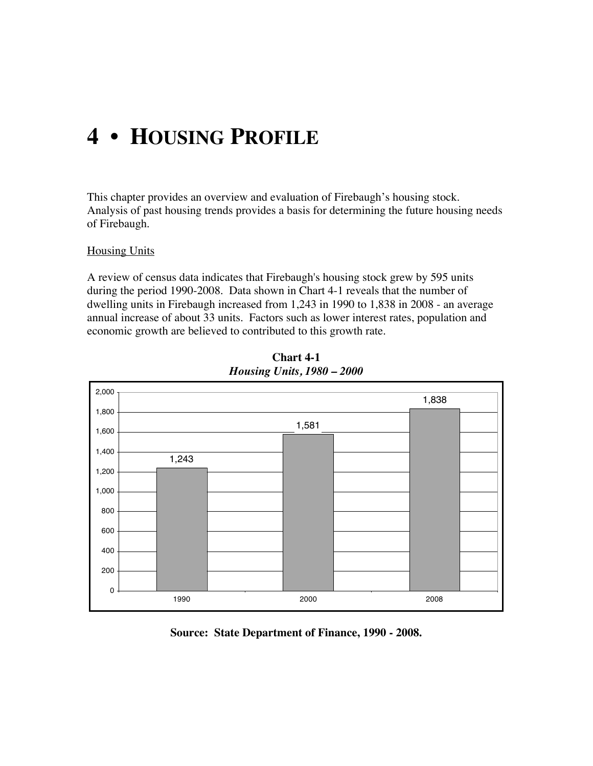# **4 • HOUSING PROFILE**

This chapter provides an overview and evaluation of Firebaugh's housing stock. Analysis of past housing trends provides a basis for determining the future housing needs of Firebaugh.

#### **Housing Units**

A review of census data indicates that Firebaugh's housing stock grew by 595 units during the period 1990-2008. Data shown in Chart 4-1 reveals that the number of dwelling units in Firebaugh increased from 1,243 in 1990 to 1,838 in 2008 - an average annual increase of about 33 units. Factors such as lower interest rates, population and economic growth are believed to contributed to this growth rate.



**Chart 4-1** *Housing Units, 1980 – 2000*

**Source: State Department of Finance, 1990 - 2008.**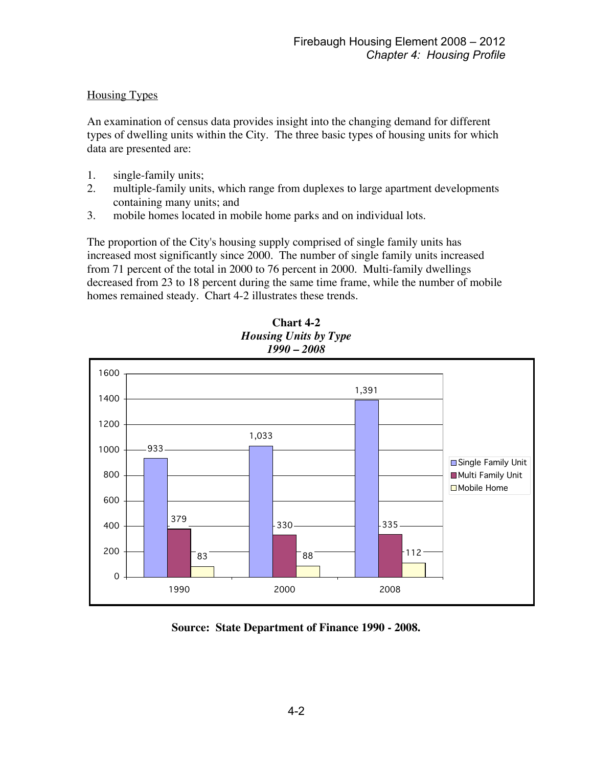## Housing Types

An examination of census data provides insight into the changing demand for different types of dwelling units within the City. The three basic types of housing units for which data are presented are:

- 1. single-family units;
- 2. multiple-family units, which range from duplexes to large apartment developments containing many units; and
- 3. mobile homes located in mobile home parks and on individual lots.

The proportion of the City's housing supply comprised of single family units has increased most significantly since 2000. The number of single family units increased from 71 percent of the total in 2000 to 76 percent in 2000. Multi-family dwellings decreased from 23 to 18 percent during the same time frame, while the number of mobile homes remained steady. Chart 4-2 illustrates these trends.





**Source: State Department of Finance 1990 - 2008.**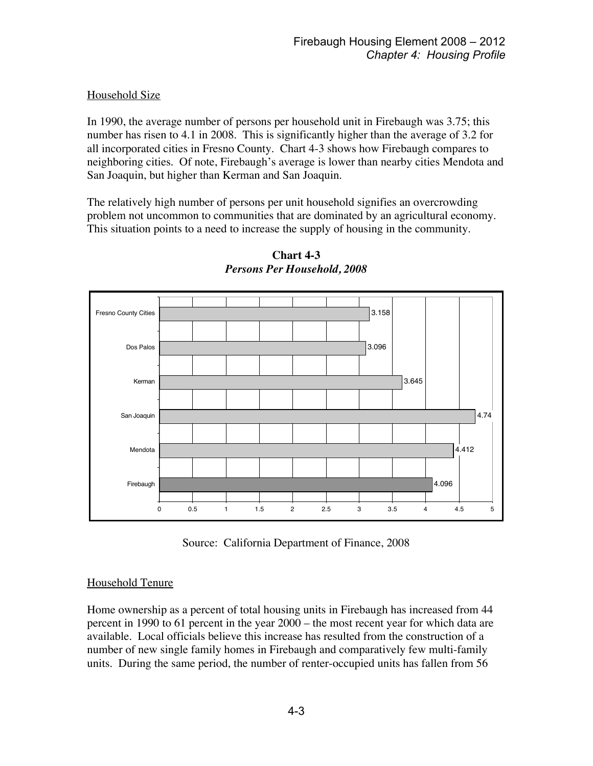# Household Size

In 1990, the average number of persons per household unit in Firebaugh was 3.75; this number has risen to 4.1 in 2008. This is significantly higher than the average of 3.2 for all incorporated cities in Fresno County. Chart 4-3 shows how Firebaugh compares to neighboring cities. Of note, Firebaugh's average is lower than nearby cities Mendota and San Joaquin, but higher than Kerman and San Joaquin.

The relatively high number of persons per unit household signifies an overcrowding problem not uncommon to communities that are dominated by an agricultural economy. This situation points to a need to increase the supply of housing in the community.



**Chart 4-3** *Persons Per Household, 2008*

Source: California Department of Finance, 2008

### Household Tenure

Home ownership as a percent of total housing units in Firebaugh has increased from 44 percent in 1990 to 61 percent in the year 2000 – the most recent year for which data are available. Local officials believe this increase has resulted from the construction of a number of new single family homes in Firebaugh and comparatively few multi-family units. During the same period, the number of renter-occupied units has fallen from 56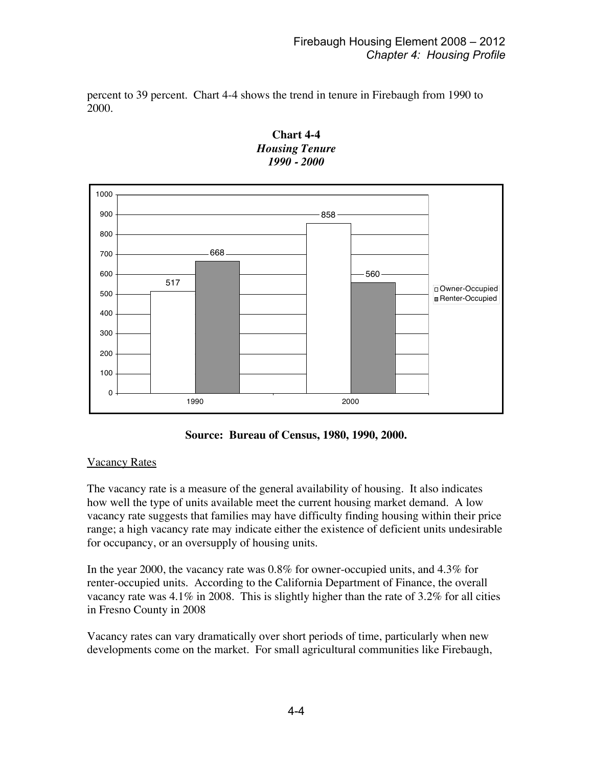percent to 39 percent. Chart 4-4 shows the trend in tenure in Firebaugh from 1990 to 2000.



**Chart 4-4** *Housing Tenure 1990 - 2000*

**Source: Bureau of Census, 1980, 1990, 2000.**

### Vacancy Rates

The vacancy rate is a measure of the general availability of housing. It also indicates how well the type of units available meet the current housing market demand. A low vacancy rate suggests that families may have difficulty finding housing within their price range; a high vacancy rate may indicate either the existence of deficient units undesirable for occupancy, or an oversupply of housing units.

In the year 2000, the vacancy rate was 0.8% for owner-occupied units, and 4.3% for renter-occupied units. According to the California Department of Finance, the overall vacancy rate was 4.1% in 2008. This is slightly higher than the rate of 3.2% for all cities in Fresno County in 2008

Vacancy rates can vary dramatically over short periods of time, particularly when new developments come on the market. For small agricultural communities like Firebaugh,